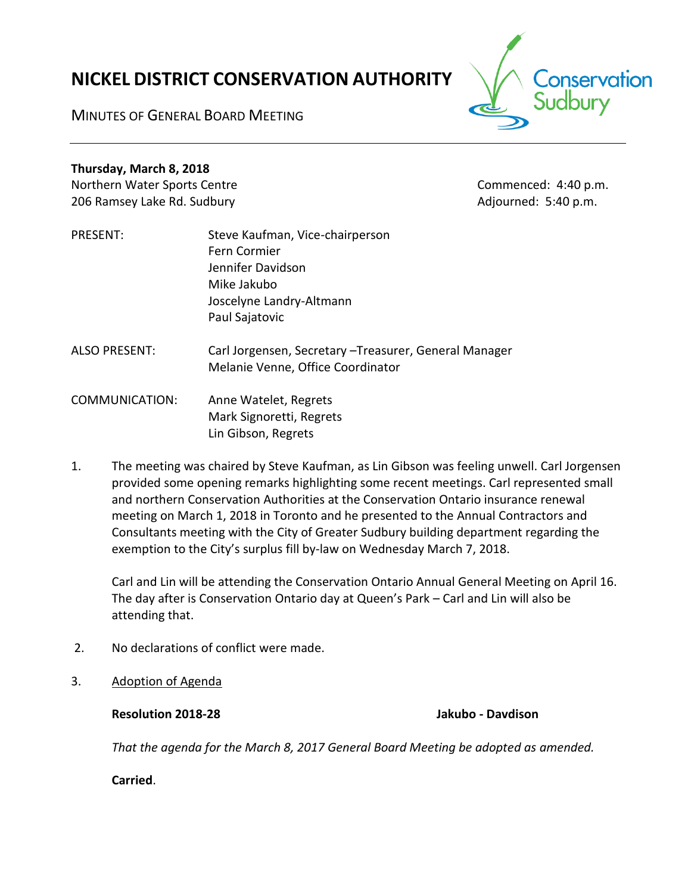# **NICKEL DISTRICT CONSERVATION AUTHORITY**



MINUTES OF GENERAL BOARD MEETING

# **Thursday, March 8, 2018**

Northern Water Sports Centre Commenced: 4:40 p.m. 206 Ramsey Lake Rd. Sudbury **Adjourned: 5:40 p.m.** Adjourned: 5:40 p.m.

- PRESENT: Steve Kaufman, Vice-chairperson Fern Cormier Jennifer Davidson Mike Jakubo Joscelyne Landry-Altmann Paul Sajatovic
- ALSO PRESENT: Carl Jorgensen, Secretary –Treasurer, General Manager Melanie Venne, Office Coordinator

COMMUNICATION: Anne Watelet, Regrets Mark Signoretti, Regrets Lin Gibson, Regrets

1. The meeting was chaired by Steve Kaufman, as Lin Gibson was feeling unwell. Carl Jorgensen provided some opening remarks highlighting some recent meetings. Carl represented small and northern Conservation Authorities at the Conservation Ontario insurance renewal meeting on March 1, 2018 in Toronto and he presented to the Annual Contractors and Consultants meeting with the City of Greater Sudbury building department regarding the exemption to the City's surplus fill by-law on Wednesday March 7, 2018.

Carl and Lin will be attending the Conservation Ontario Annual General Meeting on April 16. The day after is Conservation Ontario day at Queen's Park – Carl and Lin will also be attending that.

- 2. No declarations of conflict were made.
- 3. Adoption of Agenda

**Resolution 2018-28 Jakubo - Davdison**

*That the agenda for the March 8, 2017 General Board Meeting be adopted as amended.*

**Carried**.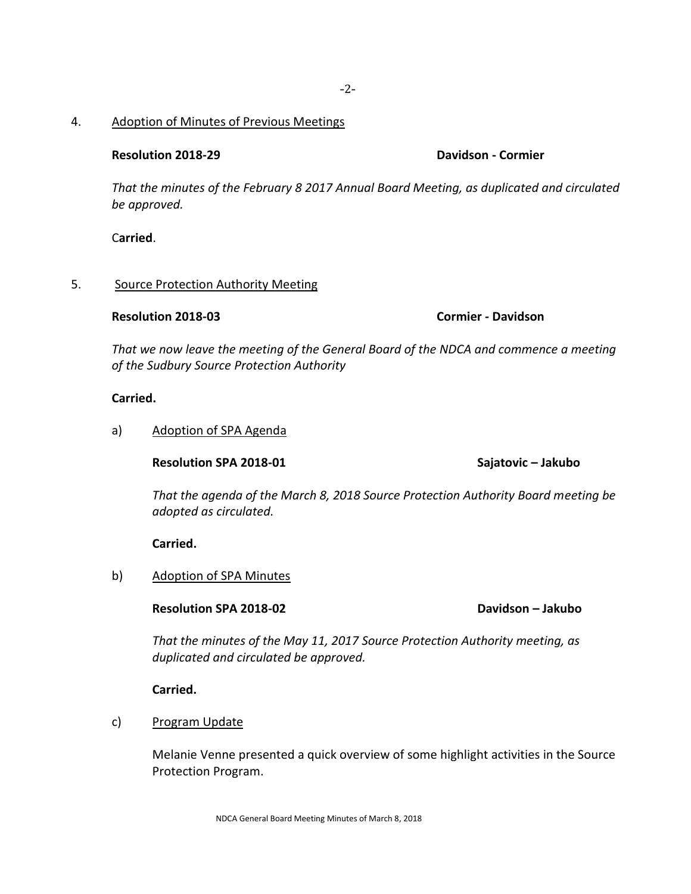### 4. Adoption of Minutes of Previous Meetings

### **Resolution 2018-29 Davidson - Cormier**

*That the minutes of the February 8 2017 Annual Board Meeting, as duplicated and circulated be approved.*

C**arried**.

### 5. Source Protection Authority Meeting

### **Resolution 2018-03 Cormier - Davidson**

*That we now leave the meeting of the General Board of the NDCA and commence a meeting of the Sudbury Source Protection Authority*

### **Carried.**

### a) Adoption of SPA Agenda

**Resolution SPA 2018-01 Sajatovic – Jakubo**

*That the agenda of the March 8, 2018 Source Protection Authority Board meeting be adopted as circulated.*

**Carried.**

b) Adoption of SPA Minutes

**Resolution SPA 2018-02 Davidson – Jakubo**

*That the minutes of the May 11, 2017 Source Protection Authority meeting, as duplicated and circulated be approved.*

**Carried.**

c) Program Update

Melanie Venne presented a quick overview of some highlight activities in the Source Protection Program.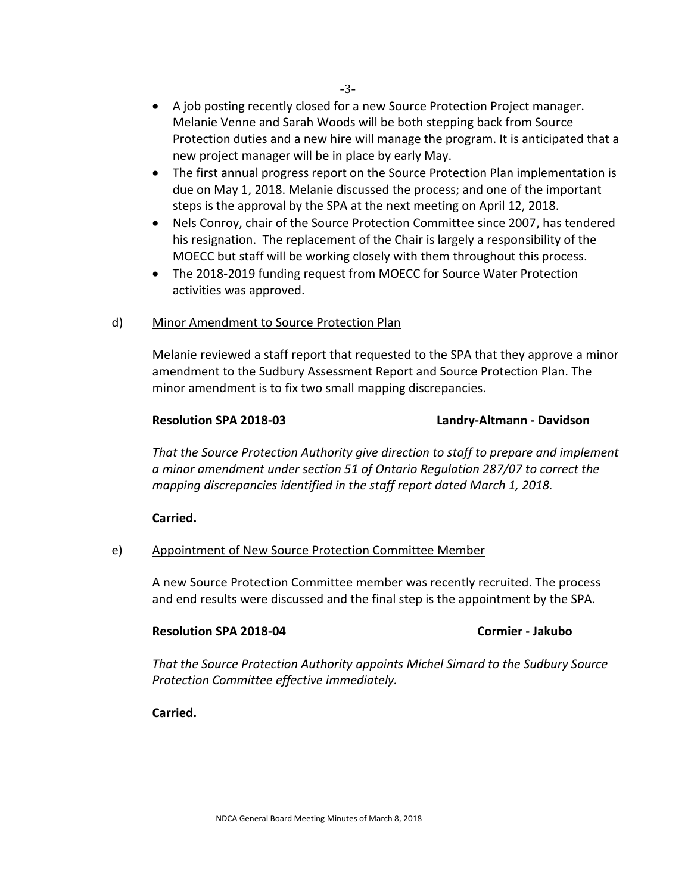- A job posting recently closed for a new Source Protection Project manager. Melanie Venne and Sarah Woods will be both stepping back from Source Protection duties and a new hire will manage the program. It is anticipated that a new project manager will be in place by early May.
- The first annual progress report on the Source Protection Plan implementation is due on May 1, 2018. Melanie discussed the process; and one of the important steps is the approval by the SPA at the next meeting on April 12, 2018.
- Nels Conroy, chair of the Source Protection Committee since 2007, has tendered his resignation. The replacement of the Chair is largely a responsibility of the MOECC but staff will be working closely with them throughout this process.
- The 2018-2019 funding request from MOECC for Source Water Protection activities was approved.

### d) Minor Amendment to Source Protection Plan

Melanie reviewed a staff report that requested to the SPA that they approve a minor amendment to the Sudbury Assessment Report and Source Protection Plan. The minor amendment is to fix two small mapping discrepancies.

### **Resolution SPA 2018-03 Landry-Altmann - Davidson**

*That the Source Protection Authority give direction to staff to prepare and implement a minor amendment under section 51 of Ontario Regulation 287/07 to correct the mapping discrepancies identified in the staff report dated March 1, 2018.*

## **Carried.**

## e) Appointment of New Source Protection Committee Member

A new Source Protection Committee member was recently recruited. The process and end results were discussed and the final step is the appointment by the SPA.

### **Resolution SPA 2018-04 Cormier - Jakubo**

*That the Source Protection Authority appoints Michel Simard to the Sudbury Source Protection Committee effective immediately.* 

**Carried.**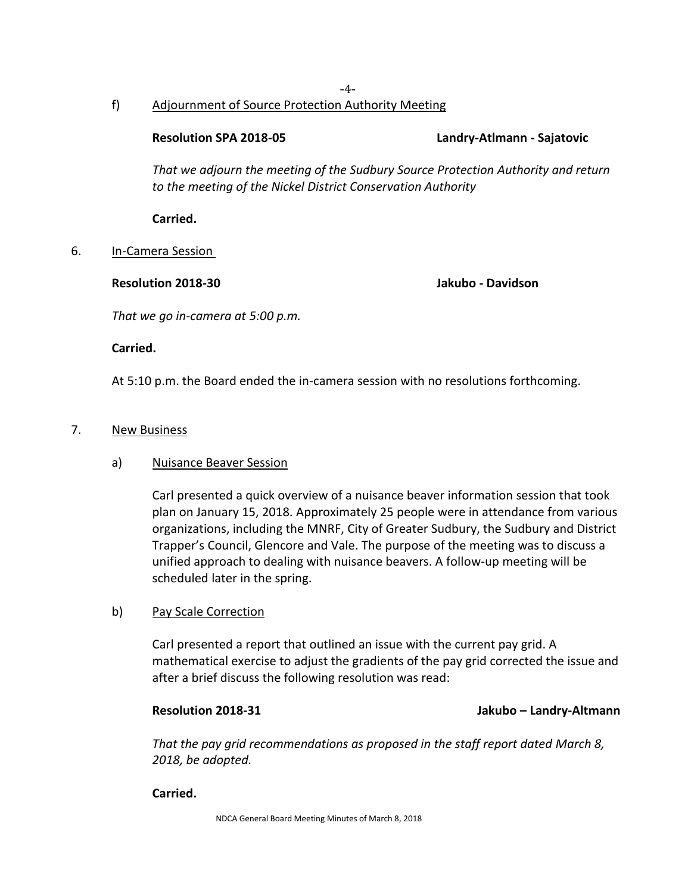### -4 f) Adjournment of Source Protection Authority Meeting

**Resolution SPA 2018-05 Landry-Atlmann - Sajatovic**

*That we adjourn the meeting of the Sudbury Source Protection Authority and return to the meeting of the Nickel District Conservation Authority*

**Carried.**

# 6. In-Camera Session

## **Resolution 2018-30 Jakubo - Davidson**

*That we go in-camera at 5:00 p.m.*

**Carried.**

At 5:10 p.m. the Board ended the in-camera session with no resolutions forthcoming.

# 7. New Business

# a) Nuisance Beaver Session

Carl presented a quick overview of a nuisance beaver information session that took plan on January 15, 2018. Approximately 25 people were in attendance from various organizations, including the MNRF, City of Greater Sudbury, the Sudbury and District Trapper's Council, Glencore and Vale. The purpose of the meeting was to discuss a unified approach to dealing with nuisance beavers. A follow-up meeting will be scheduled later in the spring.

# b) Pay Scale Correction

Carl presented a report that outlined an issue with the current pay grid. A mathematical exercise to adjust the gradients of the pay grid corrected the issue and after a brief discuss the following resolution was read:

# **Resolution 2018-31 Jakubo – Landry-Altmann**

*That the pay grid recommendations as proposed in the staff report dated March 8, 2018, be adopted.*

# **Carried.**